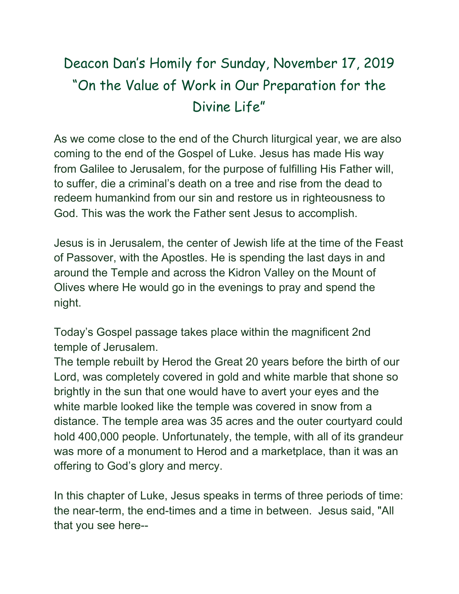## Deacon Dan's Homily for Sunday, November 17, 2019 "On the Value of Work in Our Preparation for the Divine Life"

As we come close to the end of the Church liturgical year, we are also coming to the end of the Gospel of Luke. Jesus has made His way from Galilee to Jerusalem, for the purpose of fulfilling His Father will, to suffer, die a criminal's death on a tree and rise from the dead to redeem humankind from our sin and restore us in righteousness to God. This was the work the Father sent Jesus to accomplish.

Jesus is in Jerusalem, the center of Jewish life at the time of the Feast of Passover, with the Apostles. He is spending the last days in and around the Temple and across the Kidron Valley on the Mount of Olives where He would go in the evenings to pray and spend the night.

Today's Gospel passage takes place within the magnificent 2nd temple of Jerusalem.

The temple rebuilt by Herod the Great 20 years before the birth of our Lord, was completely covered in gold and white marble that shone so brightly in the sun that one would have to avert your eyes and the white marble looked like the temple was covered in snow from a distance. The temple area was 35 acres and the outer courtyard could hold 400,000 people. Unfortunately, the temple, with all of its grandeur was more of a monument to Herod and a marketplace, than it was an offering to God's glory and mercy.

In this chapter of Luke, Jesus speaks in terms of three periods of time: the near-term, the end-times and a time in between. Jesus said, "All that you see here--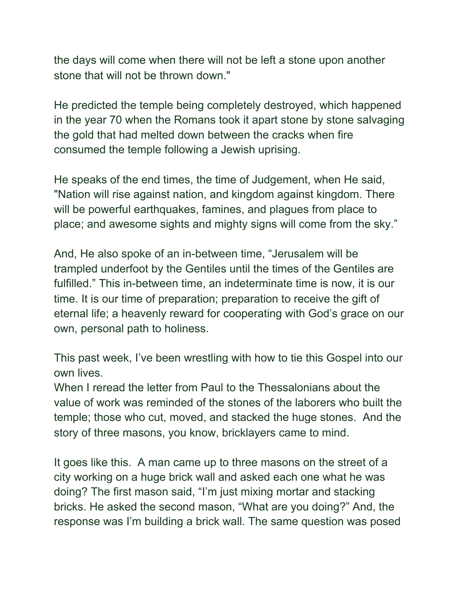the days will come when there will not be left a stone upon another stone that will not be thrown down."

He predicted the temple being completely destroyed, which happened in the year 70 when the Romans took it apart stone by stone salvaging the gold that had melted down between the cracks when fire consumed the temple following a Jewish uprising.

He speaks of the end times, the time of Judgement, when He said, "Nation will rise against nation, and kingdom against kingdom. There will be powerful earthquakes, famines, and plagues from place to place; and awesome sights and mighty signs will come from the sky."

And, He also spoke of an in-between time, "Jerusalem will be trampled underfoot by the Gentiles until the times of the Gentiles are fulfilled." This in-between time, an indeterminate time is now, it is our time. It is our time of preparation; preparation to receive the gift of eternal life; a heavenly reward for cooperating with God's grace on our own, personal path to holiness.

This past week, I've been wrestling with how to tie this Gospel into our own lives.

When I reread the letter from Paul to the Thessalonians about the value of work was reminded of the stones of the laborers who built the temple; those who cut, moved, and stacked the huge stones. And the story of three masons, you know, bricklayers came to mind.

It goes like this. A man came up to three masons on the street of a city working on a huge brick wall and asked each one what he was doing? The first mason said, "I'm just mixing mortar and stacking bricks. He asked the second mason, "What are you doing?" And, the response was I'm building a brick wall. The same question was posed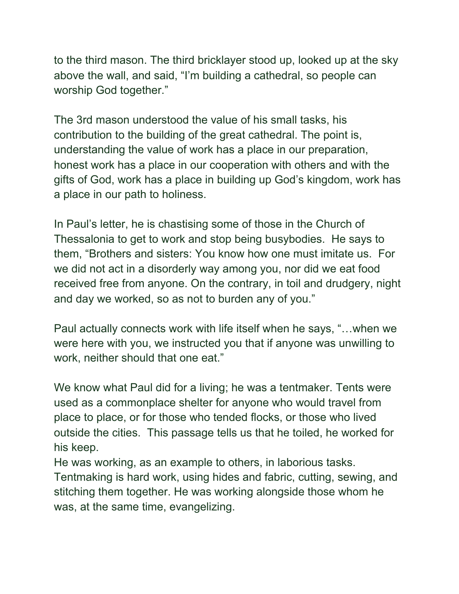to the third mason. The third bricklayer stood up, looked up at the sky above the wall, and said, "I'm building a cathedral, so people can worship God together."

The 3rd mason understood the value of his small tasks, his contribution to the building of the great cathedral. The point is, understanding the value of work has a place in our preparation, honest work has a place in our cooperation with others and with the gifts of God, work has a place in building up God's kingdom, work has a place in our path to holiness.

In Paul's letter, he is chastising some of those in the Church of Thessalonia to get to work and stop being busybodies. He says to them, "Brothers and sisters: You know how one must imitate us. For we did not act in a disorderly way among you, nor did we eat food received free from anyone. On the contrary, in toil and drudgery, night and day we worked, so as not to burden any of you."

Paul actually connects work with life itself when he says, "…when we were here with you, we instructed you that if anyone was unwilling to work, neither should that one eat."

We know what Paul did for a living; he was a tentmaker. Tents were used as a commonplace shelter for anyone who would travel from place to place, or for those who tended flocks, or those who lived outside the cities. This passage tells us that he toiled, he worked for his keep.

He was working, as an example to others, in laborious tasks. Tentmaking is hard work, using hides and fabric, cutting, sewing, and stitching them together. He was working alongside those whom he was, at the same time, evangelizing.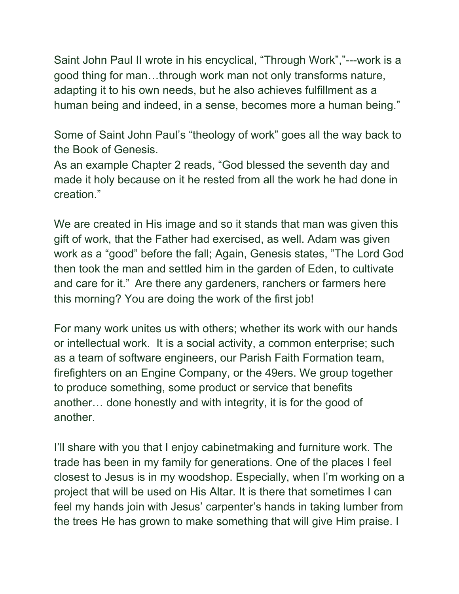Saint John Paul II wrote in his encyclical, "Through Work","---work is a good thing for man…through work man not only transforms nature, adapting it to his own needs, but he also achieves fulfillment as a human being and indeed, in a sense, becomes more a human being."

Some of Saint John Paul's "theology of work" goes all the way back to the Book of Genesis.

As an example Chapter 2 reads, "God blessed the seventh day and made it holy because on it he rested from all the work he had done in creation."

We are created in His image and so it stands that man was given this gift of work, that the Father had exercised, as well. Adam was given work as a "good" before the fall; Again, Genesis states, "The Lord God then took the man and settled him in the garden of Eden, to cultivate and care for it." Are there any gardeners, ranchers or farmers here this morning? You are doing the work of the first job!

For many work unites us with others; whether its work with our hands or intellectual work. It is a social activity, a common enterprise; such as a team of software engineers, our Parish Faith Formation team, firefighters on an Engine Company, or the 49ers. We group together to produce something, some product or service that benefits another… done honestly and with integrity, it is for the good of another.

I'll share with you that I enjoy cabinetmaking and furniture work. The trade has been in my family for generations. One of the places I feel closest to Jesus is in my woodshop. Especially, when I'm working on a project that will be used on His Altar. It is there that sometimes I can feel my hands join with Jesus' carpenter's hands in taking lumber from the trees He has grown to make something that will give Him praise. I